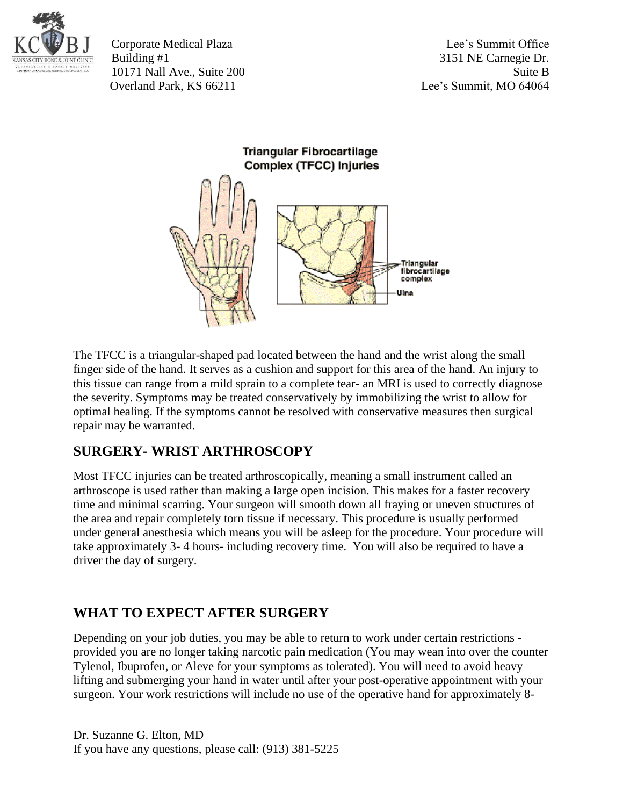

Corporate Medical Plaza Lee's Summit Office Building #1 3151 NE Carnegie Dr. 10171 Nall Ave., Suite 200 Suite B Overland Park, KS 66211 Lee's Summit, MO 64064

Triangular Fibrocartilage Complex (TFCC) Injuries



The TFCC is a triangular-shaped pad located between the hand and the wrist along the small finger side of the hand. It serves as a cushion and support for this area of the hand. An injury to this tissue can range from a mild sprain to a complete tear- an MRI is used to correctly diagnose the severity. Symptoms may be treated conservatively by immobilizing the wrist to allow for optimal healing. If the symptoms cannot be resolved with conservative measures then surgical repair may be warranted.

## **SURGERY- WRIST ARTHROSCOPY**

Most TFCC injuries can be treated arthroscopically, meaning a small instrument called an arthroscope is used rather than making a large open incision. This makes for a faster recovery time and minimal scarring. Your surgeon will smooth down all fraying or uneven structures of the area and repair completely torn tissue if necessary. This procedure is usually performed under general anesthesia which means you will be asleep for the procedure. Your procedure will take approximately 3- 4 hours- including recovery time. You will also be required to have a driver the day of surgery.

## **WHAT TO EXPECT AFTER SURGERY**

Depending on your job duties, you may be able to return to work under certain restrictions provided you are no longer taking narcotic pain medication (You may wean into over the counter Tylenol, Ibuprofen, or Aleve for your symptoms as tolerated). You will need to avoid heavy lifting and submerging your hand in water until after your post-operative appointment with your surgeon. Your work restrictions will include no use of the operative hand for approximately 8-

Dr. Suzanne G. Elton, MD If you have any questions, please call: (913) 381-5225